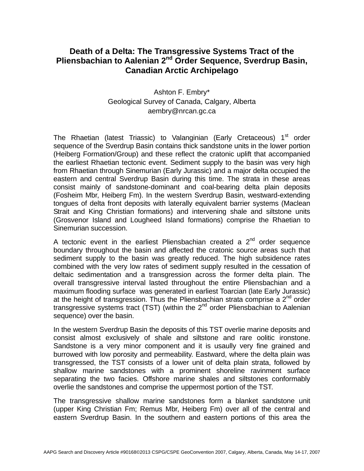## **Death of a Delta: The Transgressive Systems Tract of the Pliensbachian to Aalenian 2<sup>nd</sup> Order Sequence, Sverdrup Basin, Canadian Arctic Archipelago**

## Ashton F. Embry\* Geological Survey of Canada, Calgary, Alberta aembry@nrcan.gc.ca

The Rhaetian (latest Triassic) to Valanginian (Early Cretaceous) 1<sup>st</sup> order sequence of the Sverdrup Basin contains thick sandstone units in the lower portion (Heiberg Formation/Group) and these reflect the cratonic uplift that accompanied the earliest Rhaetian tectonic event. Sediment supply to the basin was very high from Rhaetian through Sinemurian (Early Jurassic) and a major delta occupied the eastern and central Sverdrup Basin during this time. The strata in these areas consist mainly of sandstone-dominant and coal-bearing delta plain deposits (Fosheim Mbr, Heiberg Fm). In the western Sverdrup Basin, westward-extending tongues of delta front deposits with laterally equivalent barrier systems (Maclean Strait and King Christian formations) and intervening shale and siltstone units (Grosvenor Island and Lougheed Island formations) comprise the Rhaetian to Sinemurian succession.

A tectonic event in the earliest Pliensbachian created a  $2^{nd}$  order sequence boundary throughout the basin and affected the cratonic source areas such that sediment supply to the basin was greatly reduced. The high subsidence rates combined with the very low rates of sediment supply resulted in the cessation of deltaic sedimentation and a transgression across the former delta plain. The overall transgressive interval lasted throughout the entire Pliensbachian and a maximum flooding surface was generated in earliest Toarcian (late Early Jurassic) at the height of transgression. Thus the Pliensbachian strata comprise a  $2<sup>nd</sup>$  order transgressive systems tract (TST) (within the  $2<sup>nd</sup>$  order Pliensbachian to Aalenian sequence) over the basin.

In the western Sverdrup Basin the deposits of this TST overlie marine deposits and consist almost exclusively of shale and siltstone and rare oolitic ironstone. Sandstone is a very minor component and it is usaully very fine grained and burrowed with low porosity and permeability. Eastward, where the delta plain was transgressed, the TST consists of a lower unit of delta plain strata, followed by shallow marine sandstones with a prominent shoreline ravinment surface separating the two facies. Offshore marine shales and siltstones conformably overlie the sandstones and comprise the uppermost portion of the TST.

The transgressive shallow marine sandstones form a blanket sandstone unit (upper King Christian Fm; Remus Mbr, Heiberg Fm) over all of the central and eastern Sverdrup Basin. In the southern and eastern portions of this area the